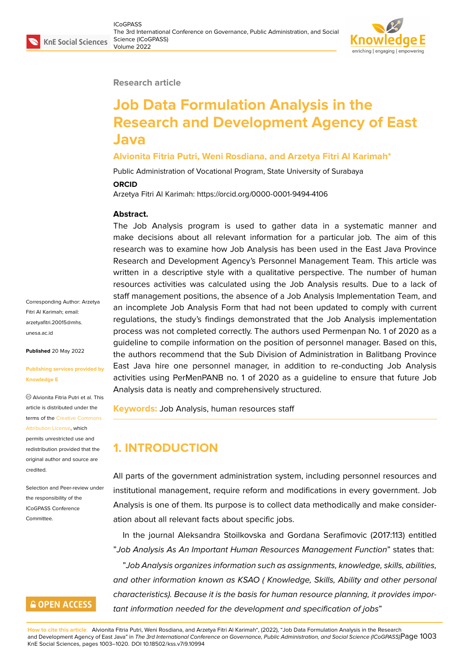#### **Research article**

# **Job Data Formulation Analysis in the Research and Development Agency of East Java**

## **Alvionita Fitria Putri, Weni Rosdiana, and Arzetya Fitri Al Karimah\***

Public Administration of Vocational Program, State University of Surabaya

#### **ORCID**

Arzetya Fitri Al Karimah: https://orcid.org/0000-0001-9494-4106

### **Abstract.**

The Job Analysis program is used to gather data in a systematic manner and make decisions about all relevant information for a particular job. The aim of this research was to examine how Job Analysis has been used in the East Java Province Research and Development Agency's Personnel Management Team. This article was written in a descriptive style with a qualitative perspective. The number of human resources activities was calculated using the Job Analysis results. Due to a lack of staff management positions, the absence of a Job Analysis Implementation Team, and an incomplete Job Analysis Form that had not been updated to comply with current regulations, the study's findings demonstrated that the Job Analysis implementation process was not completed correctly. The authors used Permenpan No. 1 of 2020 as a guideline to compile information on the position of personnel manager. Based on this, the authors recommend that the Sub Division of Administration in Balitbang Province East Java hire one personnel manager, in addition to re-conducting Job Analysis activities using PerMenPANB no. 1 of 2020 as a guideline to ensure that future Job Analysis data is neatly and comprehensively structured.

**Keywords:** Job Analysis, human resources staff

## **1. INTRODUCTION**

All parts of the government administration system, including personnel resources and institutional management, require reform and modifications in every government. Job Analysis is one of them. Its purpose is to collect data methodically and make consideration about all relevant facts about specific jobs.

In the journal Aleksandra Stoilkovska and Gordana Serafimovic (2017:113) entitled "*Job Analysis As An Important Human Resources Management Function*" states that:

"*Job Analysis organizes information such as assignments, knowledge, skills, abilities, and other information known as KSAO ( Knowledge, Skills, Ability and other personal characteristics). Because it is the basis for human resource planning, it provides important information needed for the development and specification of jobs*"

Corresponding Author: Arzetya Fitri Al Karimah; email: arzetyafitri.20015@mhs. unesa.ac.id

**Published** 20 May 2022

#### **[Publishing](mailto:arzetyafitri.20015@mhs.unesa.ac.id) services provided by Knowledge E**

Alvionita Fitria Putri et al. This article is distributed under the terms of the Creative Commons Attribution License, which permits unrestricted use and redistribution provided that the original auth[or and source are](https://creativecommons.org/licenses/by/4.0/) [credited.](https://creativecommons.org/licenses/by/4.0/)

Selection and Peer-review under the responsibility of the ICoGPASS Conference **Committee** 

## **GOPEN ACCESS**

**How to cite this article**: Alvionita Fitria Putri, Weni Rosdiana, and Arzetya Fitri Al Karimah\*, (2022), "Job Data Formulation Analysis in the Research and Development Agency of East Java" in *The 3rd International Conference on Governance, Public Administration, and Social Science (ICoGPASS)*, Page 1003 KnE Social Sciences, pages 1003–1020. DOI 10.18502/kss.v7i9.10994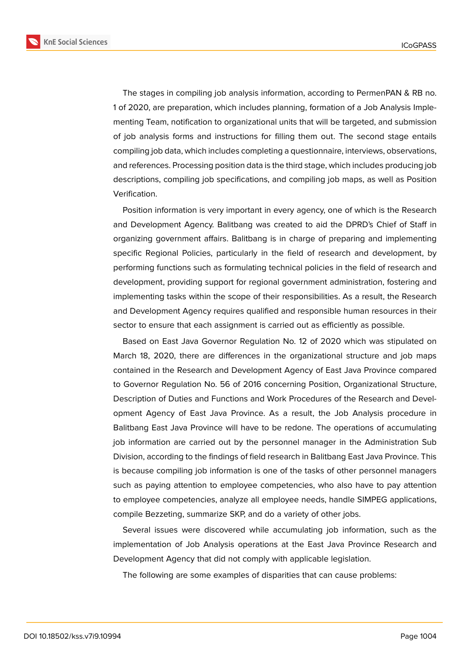**KnE Social Sciences** 



The stages in compiling job analysis information, according to PermenPAN & RB no. 1 of 2020, are preparation, which includes planning, formation of a Job Analysis Implementing Team, notification to organizational units that will be targeted, and submission of job analysis forms and instructions for filling them out. The second stage entails compiling job data, which includes completing a questionnaire, interviews, observations, and references. Processing position data is the third stage, which includes producing job descriptions, compiling job specifications, and compiling job maps, as well as Position Verification.

Position information is very important in every agency, one of which is the Research and Development Agency. Balitbang was created to aid the DPRD's Chief of Staff in organizing government affairs. Balitbang is in charge of preparing and implementing specific Regional Policies, particularly in the field of research and development, by performing functions such as formulating technical policies in the field of research and development, providing support for regional government administration, fostering and implementing tasks within the scope of their responsibilities. As a result, the Research and Development Agency requires qualified and responsible human resources in their sector to ensure that each assignment is carried out as efficiently as possible.

Based on East Java Governor Regulation No. 12 of 2020 which was stipulated on March 18, 2020, there are differences in the organizational structure and job maps contained in the Research and Development Agency of East Java Province compared to Governor Regulation No. 56 of 2016 concerning Position, Organizational Structure, Description of Duties and Functions and Work Procedures of the Research and Development Agency of East Java Province. As a result, the Job Analysis procedure in Balitbang East Java Province will have to be redone. The operations of accumulating job information are carried out by the personnel manager in the Administration Sub Division, according to the findings of field research in Balitbang East Java Province. This is because compiling job information is one of the tasks of other personnel managers such as paying attention to employee competencies, who also have to pay attention to employee competencies, analyze all employee needs, handle SIMPEG applications, compile Bezzeting, summarize SKP, and do a variety of other jobs.

Several issues were discovered while accumulating job information, such as the implementation of Job Analysis operations at the East Java Province Research and Development Agency that did not comply with applicable legislation.

The following are some examples of disparities that can cause problems: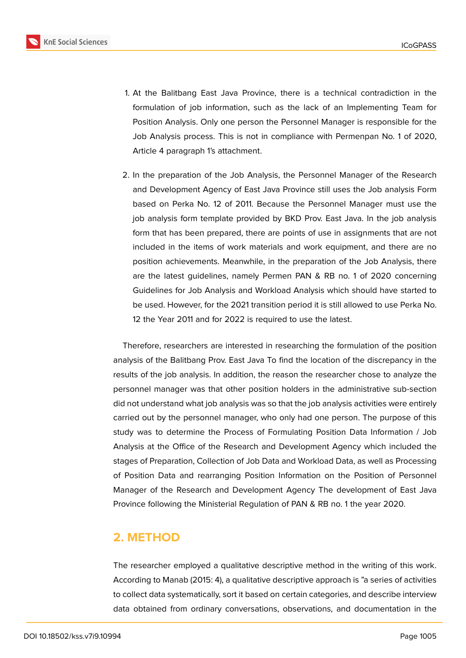

- 1. At the Balitbang East Java Province, there is a technical contradiction in the formulation of job information, such as the lack of an Implementing Team for Position Analysis. Only one person the Personnel Manager is responsible for the Job Analysis process. This is not in compliance with Permenpan No. 1 of 2020, Article 4 paragraph 1's attachment.
- 2. In the preparation of the Job Analysis, the Personnel Manager of the Research and Development Agency of East Java Province still uses the Job analysis Form based on Perka No. 12 of 2011. Because the Personnel Manager must use the job analysis form template provided by BKD Prov. East Java. In the job analysis form that has been prepared, there are points of use in assignments that are not included in the items of work materials and work equipment, and there are no position achievements. Meanwhile, in the preparation of the Job Analysis, there are the latest guidelines, namely Permen PAN & RB no. 1 of 2020 concerning Guidelines for Job Analysis and Workload Analysis which should have started to be used. However, for the 2021 transition period it is still allowed to use Perka No. 12 the Year 2011 and for 2022 is required to use the latest.

Therefore, researchers are interested in researching the formulation of the position analysis of the Balitbang Prov. East Java To find the location of the discrepancy in the results of the job analysis. In addition, the reason the researcher chose to analyze the personnel manager was that other position holders in the administrative sub-section did not understand what job analysis was so that the job analysis activities were entirely carried out by the personnel manager, who only had one person. The purpose of this study was to determine the Process of Formulating Position Data Information / Job Analysis at the Office of the Research and Development Agency which included the stages of Preparation, Collection of Job Data and Workload Data, as well as Processing of Position Data and rearranging Position Information on the Position of Personnel Manager of the Research and Development Agency The development of East Java Province following the Ministerial Regulation of PAN & RB no. 1 the year 2020.

## **2. METHOD**

The researcher employed a qualitative descriptive method in the writing of this work. According to Manab (2015: 4), a qualitative descriptive approach is "a series of activities to collect data systematically, sort it based on certain categories, and describe interview data obtained from ordinary conversations, observations, and documentation in the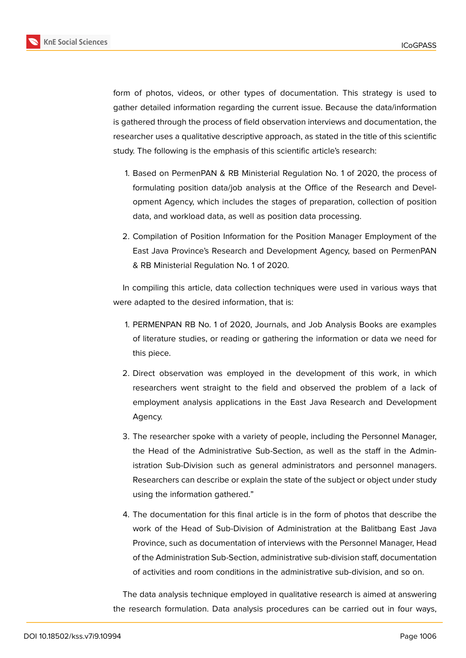

form of photos, videos, or other types of documentation. This strategy is used to gather detailed information regarding the current issue. Because the data/information is gathered through the process of field observation interviews and documentation, the researcher uses a qualitative descriptive approach, as stated in the title of this scientific study. The following is the emphasis of this scientific article's research:

- 1. Based on PermenPAN & RB Ministerial Regulation No. 1 of 2020, the process of formulating position data/job analysis at the Office of the Research and Development Agency, which includes the stages of preparation, collection of position data, and workload data, as well as position data processing.
- 2. Compilation of Position Information for the Position Manager Employment of the East Java Province's Research and Development Agency, based on PermenPAN & RB Ministerial Regulation No. 1 of 2020.

In compiling this article, data collection techniques were used in various ways that were adapted to the desired information, that is:

- 1. PERMENPAN RB No. 1 of 2020, Journals, and Job Analysis Books are examples of literature studies, or reading or gathering the information or data we need for this piece.
- 2. Direct observation was employed in the development of this work, in which researchers went straight to the field and observed the problem of a lack of employment analysis applications in the East Java Research and Development Agency.
- 3. The researcher spoke with a variety of people, including the Personnel Manager, the Head of the Administrative Sub-Section, as well as the staff in the Administration Sub-Division such as general administrators and personnel managers. Researchers can describe or explain the state of the subject or object under study using the information gathered."
- 4. The documentation for this final article is in the form of photos that describe the work of the Head of Sub-Division of Administration at the Balitbang East Java Province, such as documentation of interviews with the Personnel Manager, Head of the Administration Sub-Section, administrative sub-division staff, documentation of activities and room conditions in the administrative sub-division, and so on.

The data analysis technique employed in qualitative research is aimed at answering the research formulation. Data analysis procedures can be carried out in four ways,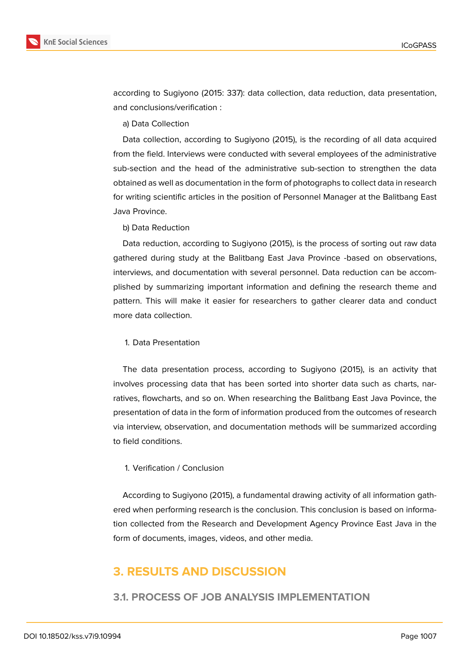



according to Sugiyono (2015: 337): data collection, data reduction, data presentation, and conclusions/verification :

a) Data Collection

Data collection, according to Sugiyono (2015), is the recording of all data acquired from the field. Interviews were conducted with several employees of the administrative sub-section and the head of the administrative sub-section to strengthen the data obtained as well as documentation in the form of photographs to collect data in research for writing scientific articles in the position of Personnel Manager at the Balitbang East Java Province.

b) Data Reduction

Data reduction, according to Sugiyono (2015), is the process of sorting out raw data gathered during study at the Balitbang East Java Province -based on observations, interviews, and documentation with several personnel. Data reduction can be accomplished by summarizing important information and defining the research theme and pattern. This will make it easier for researchers to gather clearer data and conduct more data collection.

#### 1. Data Presentation

The data presentation process, according to Sugiyono (2015), is an activity that involves processing data that has been sorted into shorter data such as charts, narratives, flowcharts, and so on. When researching the Balitbang East Java Povince, the presentation of data in the form of information produced from the outcomes of research via interview, observation, and documentation methods will be summarized according to field conditions.

#### 1. Verification / Conclusion

According to Sugiyono (2015), a fundamental drawing activity of all information gathered when performing research is the conclusion. This conclusion is based on information collected from the Research and Development Agency Province East Java in the form of documents, images, videos, and other media.

## **3. RESULTS AND DISCUSSION**

## **3.1. PROCESS OF JOB ANALYSIS IMPLEMENTATION**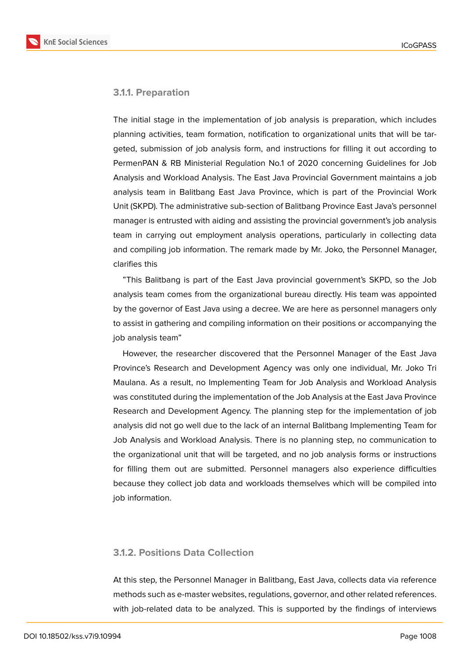**KnE Social Sciences** 



#### **3.1.1. Preparation**

The initial stage in the implementation of job analysis is preparation, which includes planning activities, team formation, notification to organizational units that will be targeted, submission of job analysis form, and instructions for filling it out according to PermenPAN & RB Ministerial Regulation No.1 of 2020 concerning Guidelines for Job Analysis and Workload Analysis. The East Java Provincial Government maintains a job analysis team in Balitbang East Java Province, which is part of the Provincial Work Unit (SKPD). The administrative sub-section of Balitbang Province East Java's personnel manager is entrusted with aiding and assisting the provincial government's job analysis team in carrying out employment analysis operations, particularly in collecting data and compiling job information. The remark made by Mr. Joko, the Personnel Manager, clarifies this

"This Balitbang is part of the East Java provincial government's SKPD, so the Job analysis team comes from the organizational bureau directly. His team was appointed by the governor of East Java using a decree. We are here as personnel managers only to assist in gathering and compiling information on their positions or accompanying the job analysis team"

However, the researcher discovered that the Personnel Manager of the East Java Province's Research and Development Agency was only one individual, Mr. Joko Tri Maulana. As a result, no Implementing Team for Job Analysis and Workload Analysis was constituted during the implementation of the Job Analysis at the East Java Province Research and Development Agency. The planning step for the implementation of job analysis did not go well due to the lack of an internal Balitbang Implementing Team for Job Analysis and Workload Analysis. There is no planning step, no communication to the organizational unit that will be targeted, and no job analysis forms or instructions for filling them out are submitted. Personnel managers also experience difficulties because they collect job data and workloads themselves which will be compiled into job information.

#### **3.1.2. Positions Data Collection**

At this step, the Personnel Manager in Balitbang, East Java, collects data via reference methods such as e-master websites, regulations, governor, and other related references. with job-related data to be analyzed. This is supported by the findings of interviews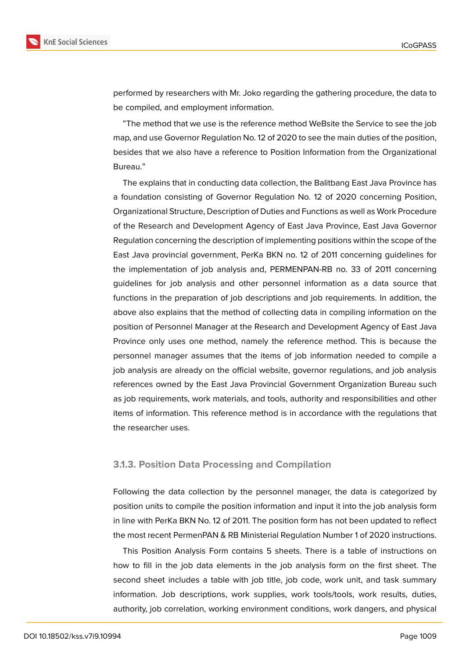

performed by researchers with Mr. Joko regarding the gathering procedure, the data to be compiled, and employment information.

"The method that we use is the reference method WeBsite the Service to see the job map, and use Governor Regulation No. 12 of 2020 to see the main duties of the position, besides that we also have a reference to Position Information from the Organizational Bureau."

The explains that in conducting data collection, the Balitbang East Java Province has a foundation consisting of Governor Regulation No. 12 of 2020 concerning Position, Organizational Structure, Description of Duties and Functions as well as Work Procedure of the Research and Development Agency of East Java Province, East Java Governor Regulation concerning the description of implementing positions within the scope of the East Java provincial government, PerKa BKN no. 12 of 2011 concerning guidelines for the implementation of job analysis and, PERMENPAN-RB no. 33 of 2011 concerning guidelines for job analysis and other personnel information as a data source that functions in the preparation of job descriptions and job requirements. In addition, the above also explains that the method of collecting data in compiling information on the position of Personnel Manager at the Research and Development Agency of East Java Province only uses one method, namely the reference method. This is because the personnel manager assumes that the items of job information needed to compile a job analysis are already on the official website, governor regulations, and job analysis references owned by the East Java Provincial Government Organization Bureau such as job requirements, work materials, and tools, authority and responsibilities and other items of information. This reference method is in accordance with the regulations that the researcher uses.

#### **3.1.3. Position Data Processing and Compilation**

Following the data collection by the personnel manager, the data is categorized by position units to compile the position information and input it into the job analysis form in line with PerKa BKN No. 12 of 2011. The position form has not been updated to reflect the most recent PermenPAN & RB Ministerial Regulation Number 1 of 2020 instructions.

This Position Analysis Form contains 5 sheets. There is a table of instructions on how to fill in the job data elements in the job analysis form on the first sheet. The second sheet includes a table with job title, job code, work unit, and task summary information. Job descriptions, work supplies, work tools/tools, work results, duties, authority, job correlation, working environment conditions, work dangers, and physical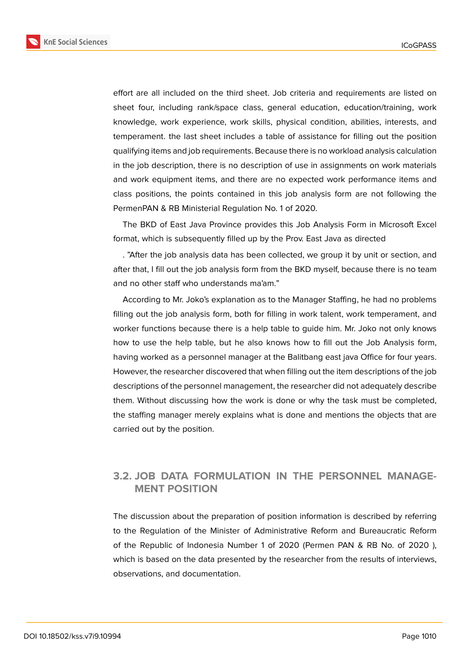**KnE Social Sciences** 



effort are all included on the third sheet. Job criteria and requirements are listed on sheet four, including rank/space class, general education, education/training, work knowledge, work experience, work skills, physical condition, abilities, interests, and temperament. the last sheet includes a table of assistance for filling out the position qualifying items and job requirements. Because there is no workload analysis calculation in the job description, there is no description of use in assignments on work materials and work equipment items, and there are no expected work performance items and class positions, the points contained in this job analysis form are not following the PermenPAN & RB Ministerial Regulation No. 1 of 2020.

The BKD of East Java Province provides this Job Analysis Form in Microsoft Excel format, which is subsequently filled up by the Prov. East Java as directed

. "After the job analysis data has been collected, we group it by unit or section, and after that, I fill out the job analysis form from the BKD myself, because there is no team and no other staff who understands ma'am."

According to Mr. Joko's explanation as to the Manager Staffing, he had no problems filling out the job analysis form, both for filling in work talent, work temperament, and worker functions because there is a help table to guide him. Mr. Joko not only knows how to use the help table, but he also knows how to fill out the Job Analysis form, having worked as a personnel manager at the Balitbang east java Office for four years. However, the researcher discovered that when filling out the item descriptions of the job descriptions of the personnel management, the researcher did not adequately describe them. Without discussing how the work is done or why the task must be completed, the staffing manager merely explains what is done and mentions the objects that are carried out by the position.

## **3.2. JOB DATA FORMULATION IN THE PERSONNEL MANAGE-MENT POSITION**

The discussion about the preparation of position information is described by referring to the Regulation of the Minister of Administrative Reform and Bureaucratic Reform of the Republic of Indonesia Number 1 of 2020 (Permen PAN & RB No. of 2020 ), which is based on the data presented by the researcher from the results of interviews, observations, and documentation.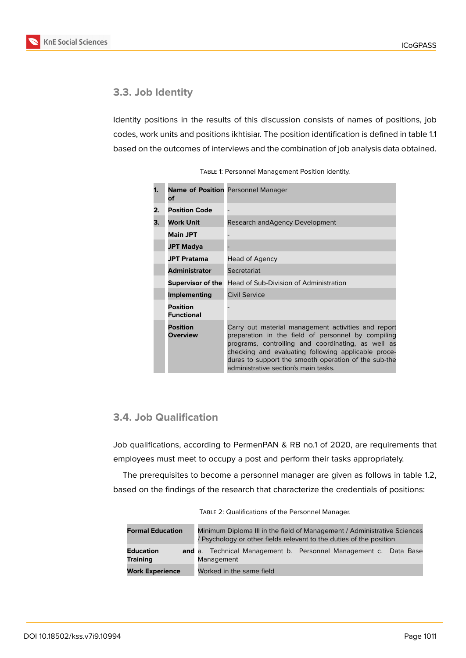

## **3.3. Job Identity**

Identity positions in the results of this discussion consists of names of positions, job codes, work units and positions ikhtisiar. The position identification is defined in table 1.1 based on the outcomes of interviews and the combination of job analysis data obtained.

| 1. | of                                   | <b>Name of Position Personnel Manager</b>                                                                                                                                                                                                                                                                              |
|----|--------------------------------------|------------------------------------------------------------------------------------------------------------------------------------------------------------------------------------------------------------------------------------------------------------------------------------------------------------------------|
| 2. | <b>Position Code</b>                 |                                                                                                                                                                                                                                                                                                                        |
| З. | <b>Work Unit</b>                     | Research and Agency Development                                                                                                                                                                                                                                                                                        |
|    | <b>Main JPT</b>                      |                                                                                                                                                                                                                                                                                                                        |
|    | <b>JPT Madya</b>                     |                                                                                                                                                                                                                                                                                                                        |
|    | <b>JPT Pratama</b>                   | Head of Agency                                                                                                                                                                                                                                                                                                         |
|    | <b>Administrator</b>                 | Secretariat                                                                                                                                                                                                                                                                                                            |
|    | <b>Supervisor of the</b>             | Head of Sub-Division of Administration                                                                                                                                                                                                                                                                                 |
|    | Implementing                         | Civil Service                                                                                                                                                                                                                                                                                                          |
|    | <b>Position</b><br><b>Functional</b> |                                                                                                                                                                                                                                                                                                                        |
|    | <b>Position</b><br><b>Overview</b>   | Carry out material management activities and report<br>preparation in the field of personnel by compiling<br>programs, controlling and coordinating, as well as<br>checking and evaluating following applicable proce-<br>dures to support the smooth operation of the sub-the<br>administrative section's main tasks. |

## **3.4. Job Qualification**

Job qualifications, according to PermenPAN & RB no.1 of 2020, are requirements that employees must meet to occupy a post and perform their tasks appropriately.

The prerequisites to become a personnel manager are given as follows in table 1.2, based on the findings of the research that characterize the credentials of positions:

| <b>Formal Education</b>             | Minimum Diploma III in the field of Management / Administrative Sciences<br>/ Psychology or other fields relevant to the duties of the position |  |  |  |
|-------------------------------------|-------------------------------------------------------------------------------------------------------------------------------------------------|--|--|--|
| <b>Education</b><br><b>Training</b> | <b>and</b> a. Technical Management b. Personnel Management c. Data Base<br>Management                                                           |  |  |  |
| <b>Work Experience</b>              | Worked in the same field                                                                                                                        |  |  |  |

TABLE 2: Qualifications of the Personnel Manager.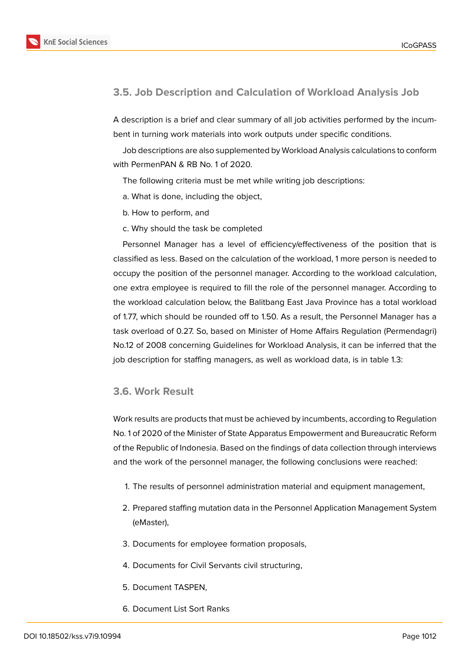

## **3.5. Job Description and Calculation of Workload Analysis Job**

A description is a brief and clear summary of all job activities performed by the incumbent in turning work materials into work outputs under specific conditions.

Job descriptions are also supplemented by Workload Analysis calculations to conform with PermenPAN & RB No. 1 of 2020.

The following criteria must be met while writing job descriptions:

- a. What is done, including the object,
- b. How to perform, and
- c. Why should the task be completed

Personnel Manager has a level of efficiency/effectiveness of the position that is classified as less. Based on the calculation of the workload, 1 more person is needed to occupy the position of the personnel manager. According to the workload calculation, one extra employee is required to fill the role of the personnel manager. According to the workload calculation below, the Balitbang East Java Province has a total workload of 1.77, which should be rounded off to 1.50. As a result, the Personnel Manager has a task overload of 0.27. So, based on Minister of Home Affairs Regulation (Permendagri) No.12 of 2008 concerning Guidelines for Workload Analysis, it can be inferred that the job description for staffing managers, as well as workload data, is in table 1.3:

#### **3.6. Work Result**

Work results are products that must be achieved by incumbents, according to Regulation No. 1 of 2020 of the Minister of State Apparatus Empowerment and Bureaucratic Reform of the Republic of Indonesia. Based on the findings of data collection through interviews and the work of the personnel manager, the following conclusions were reached:

- 1. The results of personnel administration material and equipment management,
- 2. Prepared staffing mutation data in the Personnel Application Management System (eMaster),
- 3. Documents for employee formation proposals,
- 4. Documents for Civil Servants civil structuring,
- 5. Document TASPEN,
- 6. Document List Sort Ranks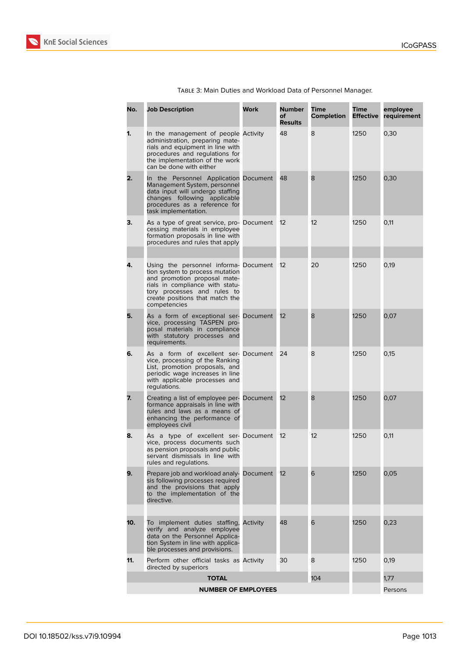

|     | TABLE 3: Main Duties and Workload Data                                 |      |                                       |
|-----|------------------------------------------------------------------------|------|---------------------------------------|
| No. | <b>Job Description</b>                                                 | Work | <b>Number</b><br>оf<br><b>Results</b> |
|     | In the management of people Activity<br>administration preparing mate- |      | 48                                    |

| TABLE 3: Main Duties and Workload Data of Personnel Manager. |             |        |             |             |     |
|--------------------------------------------------------------|-------------|--------|-------------|-------------|-----|
| Description                                                  | <b>Work</b> | Number | <b>Time</b> | <b>Time</b> | emp |

| No.                        | <b>Job Description</b>                                                                                                                                                                                                        | Work     | Number<br>of<br>Results | Time<br>Completion | Time<br><b>Effective</b> | employee<br>requirement |
|----------------------------|-------------------------------------------------------------------------------------------------------------------------------------------------------------------------------------------------------------------------------|----------|-------------------------|--------------------|--------------------------|-------------------------|
| 1.                         | In the management of people Activity<br>administration, preparing mate-<br>rials and equipment in line with<br>procedures and regulations for<br>the implementation of the work<br>can be done with either                    |          | 48                      | 8                  | 1250                     | 0,30                    |
| 2.                         | In the Personnel Application Document<br>Management System, personnel<br>data input will undergo staffing<br>changes following applicable<br>procedures as a reference for<br>task implementation.                            |          | 48                      | 8                  | 1250                     | 0,30                    |
| З.                         | As a type of great service, pro- Document<br>cessing materials in employee<br>formation proposals in line with<br>procedures and rules that apply                                                                             |          | 12                      | 12                 | 1250                     | 0,11                    |
| 4.                         | Using the personnel informa- Document<br>tion system to process mutation<br>and promotion proposal mate-<br>rials in compliance with statu-<br>tory processes and rules to<br>create positions that match the<br>competencies |          | 12                      | 20                 | 1250                     | 0,19                    |
| 5.                         | As a form of exceptional ser- Document<br>vice, processing TASPEN pro-<br>posal materials in compliance<br>with statutory processes and<br>requirements.                                                                      |          | 12                      | 8                  | 1250                     | 0,07                    |
| 6.                         | As a form of excellent ser- Document<br>vice, processing of the Ranking<br>List, promotion proposals, and<br>periodic wage increases in line<br>with applicable processes and<br>regulations.                                 |          | 24                      | 8                  | 1250                     | 0,15                    |
| 7.                         | Creating a list of employee per- Document<br>formance appraisals in line with<br>rules and laws as a means of<br>enhancing the performance of<br>employees civil                                                              |          | 12                      | 8                  | 1250                     | 0,07                    |
| 8.                         | As a type of excellent ser- Document<br>vice, process documents such<br>as pension proposals and public<br>servant dismissals in line with<br>rules and regulations.                                                          |          | 12                      | 12                 | 1250                     | 0,11                    |
| 9.                         | Prepare job and workload analy- Document<br>sis following processes required<br>and the provisions that apply<br>to the implementation of the<br>directive.                                                                   |          | 12                      | 6                  | 1250                     | 0,05                    |
| 10.                        | To implement duties staffing,<br>verify and analyze employee<br>data on the Personnel Applica-<br>tion System in line with applica-<br>ble processes and provisions.                                                          | Activity | 48                      | 6                  | 1250                     | 0,23                    |
| 11.                        | Perform other official tasks as Activity<br>directed by superiors                                                                                                                                                             |          | 30                      | 8                  | 1250                     | 0,19                    |
|                            | <b>TOTAL</b>                                                                                                                                                                                                                  |          |                         | 104                |                          | 1,77                    |
| <b>NUMBER OF EMPLOYEES</b> |                                                                                                                                                                                                                               |          |                         |                    |                          | Persons                 |
|                            |                                                                                                                                                                                                                               |          |                         |                    |                          |                         |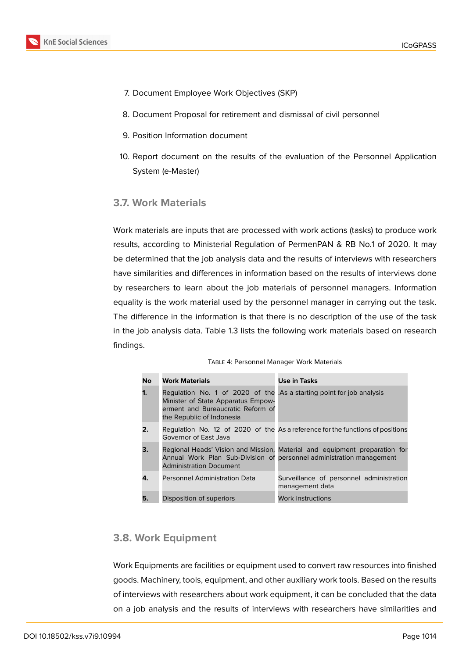

- 7. Document Employee Work Objectives (SKP)
- 8. Document Proposal for retirement and dismissal of civil personnel
- 9. Position Information document
- 10. Report document on the results of the evaluation of the Personnel Application System (e-Master)

## **3.7. Work Materials**

Work materials are inputs that are processed with work actions (tasks) to produce work results, according to Ministerial Regulation of PermenPAN & RB No.1 of 2020. It may be determined that the job analysis data and the results of interviews with researchers have similarities and differences in information based on the results of interviews done by researchers to learn about the job materials of personnel managers. Information equality is the work material used by the personnel manager in carrying out the task. The difference in the information is that there is no description of the use of the task in the job analysis data. Table 1.3 lists the following work materials based on research findings.

| <b>No</b> | <b>Work Materials</b>                                                                                                                                                         | <b>Use in Tasks</b>                                                                                                                                |
|-----------|-------------------------------------------------------------------------------------------------------------------------------------------------------------------------------|----------------------------------------------------------------------------------------------------------------------------------------------------|
| 1.        | Regulation No. 1 of 2020 of the .As a starting point for job analysis<br>Minister of State Apparatus Empow-<br>erment and Bureaucratic Reform of<br>the Republic of Indonesia |                                                                                                                                                    |
| 2.        | Governor of East Java                                                                                                                                                         | Regulation No. 12 of 2020 of the As a reference for the functions of positions                                                                     |
| З.        | <b>Administration Document</b>                                                                                                                                                | Regional Heads' Vision and Mission, Material and equipment preparation for<br>Annual Work Plan Sub-Division of personnel administration management |
| 4.        | <b>Personnel Administration Data</b>                                                                                                                                          | Surveillance of personnel administration<br>management data                                                                                        |
| 5.        | Disposition of superiors                                                                                                                                                      | Work instructions                                                                                                                                  |

| TABLE 4: Personnel Manager Work Materials |  |  |
|-------------------------------------------|--|--|
|-------------------------------------------|--|--|

## **3.8. Work Equipment**

Work Equipments are facilities or equipment used to convert raw resources into finished goods. Machinery, tools, equipment, and other auxiliary work tools. Based on the results of interviews with researchers about work equipment, it can be concluded that the data on a job analysis and the results of interviews with researchers have similarities and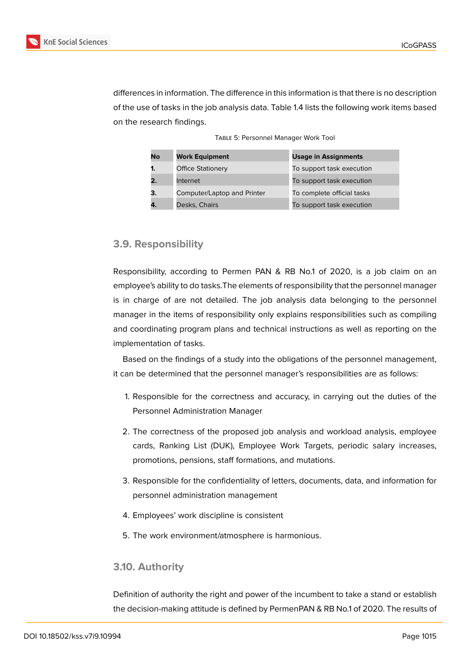

differences in information. The difference in this information is that there is no description of the use of tasks in the job analysis data. Table 1.4 lists the following work items based on the research findings.

Table 5: Personnel Manager Work Tool

| No | <b>Work Equipment</b>       | <b>Usage in Assignments</b> |
|----|-----------------------------|-----------------------------|
|    | <b>Office Stationery</b>    | To support task execution   |
|    | Internet                    | To support task execution   |
| З. | Computer/Laptop and Printer | To complete official tasks  |
| 4. | Desks, Chairs               | To support task execution   |

## **3.9. Responsibility**

Responsibility, according to Permen PAN & RB No.1 of 2020, is a job claim on an employee's ability to do tasks.The elements of responsibility that the personnel manager is in charge of are not detailed. The job analysis data belonging to the personnel manager in the items of responsibility only explains responsibilities such as compiling and coordinating program plans and technical instructions as well as reporting on the implementation of tasks.

Based on the findings of a study into the obligations of the personnel management, it can be determined that the personnel manager's responsibilities are as follows:

- 1. Responsible for the correctness and accuracy, in carrying out the duties of the Personnel Administration Manager
- 2. The correctness of the proposed job analysis and workload analysis, employee cards, Ranking List (DUK), Employee Work Targets, periodic salary increases, promotions, pensions, staff formations, and mutations.
- 3. Responsible for the confidentiality of letters, documents, data, and information for personnel administration management
- 4. Employees' work discipline is consistent
- 5. The work environment/atmosphere is harmonious.

#### **3.10. Authority**

Definition of authority the right and power of the incumbent to take a stand or establish the decision-making attitude is defined by PermenPAN & RB No.1 of 2020. The results of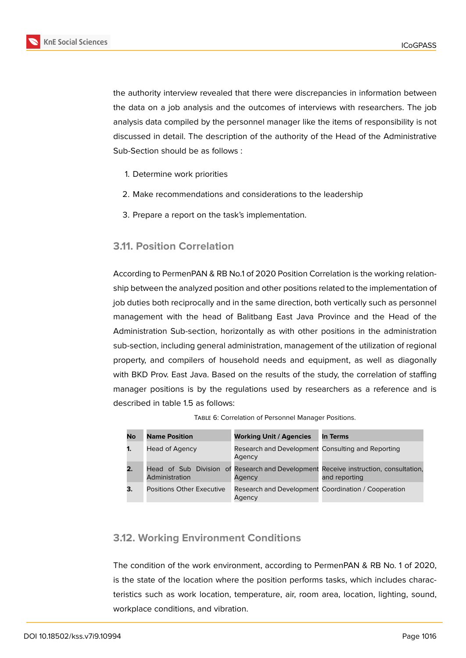

the authority interview revealed that there were discrepancies in information between the data on a job analysis and the outcomes of interviews with researchers. The job analysis data compiled by the personnel manager like the items of responsibility is not discussed in detail. The description of the authority of the Head of the Administrative Sub-Section should be as follows :

- 1. Determine work priorities
- 2. Make recommendations and considerations to the leadership
- 3. Prepare a report on the task's implementation.

## **3.11. Position Correlation**

According to PermenPAN & RB No.1 of 2020 Position Correlation is the working relationship between the analyzed position and other positions related to the implementation of job duties both reciprocally and in the same direction, both vertically such as personnel management with the head of Balitbang East Java Province and the Head of the Administration Sub-section, horizontally as with other positions in the administration sub-section, including general administration, management of the utilization of regional property, and compilers of household needs and equipment, as well as diagonally with BKD Prov. East Java. Based on the results of the study, the correlation of staffing manager positions is by the regulations used by researchers as a reference and is described in table 1.5 as follows:

| TABLE 6: Correlation of Personnel Manager Positions. |  |
|------------------------------------------------------|--|
|------------------------------------------------------|--|

| No             | <b>Name Position</b>      | <b>Working Unit / Agencies</b>                                | In Terms                                                                                             |
|----------------|---------------------------|---------------------------------------------------------------|------------------------------------------------------------------------------------------------------|
| $\mathbf{1}$ . | Head of Agency            | Research and Development Consulting and Reporting<br>Agency   |                                                                                                      |
| 2.             | Administration            | Agency                                                        | Head of Sub Division of Research and Development Receive instruction, consultation,<br>and reporting |
| З.             | Positions Other Executive | Research and Development Coordination / Cooperation<br>Agency |                                                                                                      |

## **3.12. Working Environment Conditions**

The condition of the work environment, according to PermenPAN & RB No. 1 of 2020, is the state of the location where the position performs tasks, which includes characteristics such as work location, temperature, air, room area, location, lighting, sound, workplace conditions, and vibration.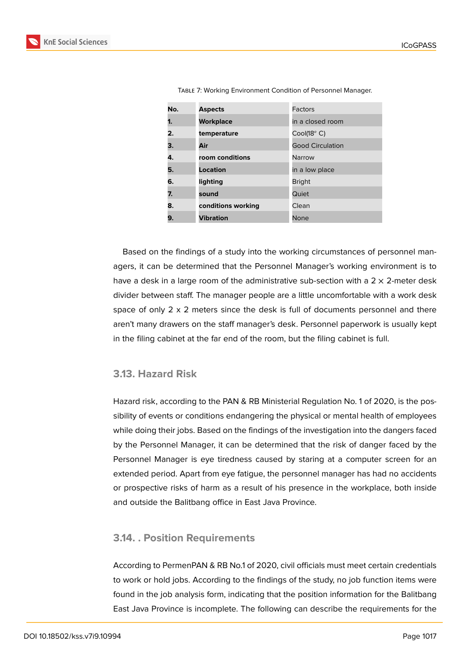| No. | <b>Aspects</b>     | Factors                 |
|-----|--------------------|-------------------------|
| 1.  | <b>Workplace</b>   | in a closed room        |
| 2.  | temperature        | $Cool(18o)$ C)          |
| 3.  | Air                | <b>Good Circulation</b> |
| 4.  | room conditions    | Narrow                  |
| 5.  | Location           | in a low place          |
| 6.  | lighting           | <b>Bright</b>           |
| 7.  | sound              | Quiet                   |
| 8.  | conditions working | Clean                   |
| 9.  | <b>Vibration</b>   | <b>None</b>             |

Table 7: Working Environment Condition of Personnel Manager.

Based on the findings of a study into the working circumstances of personnel managers, it can be determined that the Personnel Manager's working environment is to have a desk in a large room of the administrative sub-section with a  $2 \times 2$ -meter desk divider between staff. The manager people are a little uncomfortable with a work desk space of only  $2 \times 2$  meters since the desk is full of documents personnel and there aren't many drawers on the staff manager's desk. Personnel paperwork is usually kept in the filing cabinet at the far end of the room, but the filing cabinet is full.

### **3.13. Hazard Risk**

Hazard risk, according to the PAN & RB Ministerial Regulation No. 1 of 2020, is the possibility of events or conditions endangering the physical or mental health of employees while doing their jobs. Based on the findings of the investigation into the dangers faced by the Personnel Manager, it can be determined that the risk of danger faced by the Personnel Manager is eye tiredness caused by staring at a computer screen for an extended period. Apart from eye fatigue, the personnel manager has had no accidents or prospective risks of harm as a result of his presence in the workplace, both inside and outside the Balitbang office in East Java Province.

#### **3.14. . Position Requirements**

According to PermenPAN & RB No.1 of 2020, civil officials must meet certain credentials to work or hold jobs. According to the findings of the study, no job function items were found in the job analysis form, indicating that the position information for the Balitbang East Java Province is incomplete. The following can describe the requirements for the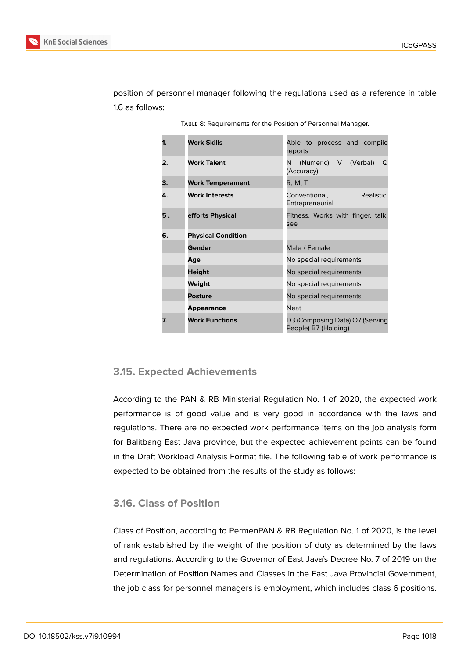

position of personnel manager following the regulations used as a reference in table 1.6 as follows:

| 1. | <b>Work Skills</b>        | Able to process and compile<br>reports                              |  |
|----|---------------------------|---------------------------------------------------------------------|--|
| 2. | <b>Work Talent</b>        | (Numeric) V (Verbal)<br>N<br>Q<br>(Accuracy)                        |  |
| З. | <b>Work Temperament</b>   | R, M, T                                                             |  |
| 4. | <b>Work Interests</b>     | Conventional,<br>Realistic.<br>Entrepreneurial                      |  |
| 5. | efforts Physical          | Fitness, Works with finger, talk,<br>see                            |  |
| 6. | <b>Physical Condition</b> | Male / Female<br>No special requirements<br>No special requirements |  |
|    | Gender                    |                                                                     |  |
|    | Age                       |                                                                     |  |
|    | <b>Height</b>             |                                                                     |  |
|    | Weight                    | No special requirements                                             |  |
|    | <b>Posture</b>            | No special requirements                                             |  |
|    | <b>Appearance</b>         | <b>Neat</b>                                                         |  |
| 7. | <b>Work Functions</b>     | D3 (Composing Data) O7 (Serving<br>People) B7 (Holding)             |  |

Table 8: Requirements for the Position of Personnel Manager.

#### **3.15. Expected Achievements**

According to the PAN & RB Ministerial Regulation No. 1 of 2020, the expected work performance is of good value and is very good in accordance with the laws and regulations. There are no expected work performance items on the job analysis form for Balitbang East Java province, but the expected achievement points can be found in the Draft Workload Analysis Format file. The following table of work performance is expected to be obtained from the results of the study as follows:

### **3.16. Class of Position**

Class of Position, according to PermenPAN & RB Regulation No. 1 of 2020, is the level of rank established by the weight of the position of duty as determined by the laws and regulations. According to the Governor of East Java's Decree No. 7 of 2019 on the Determination of Position Names and Classes in the East Java Provincial Government, the job class for personnel managers is employment, which includes class 6 positions.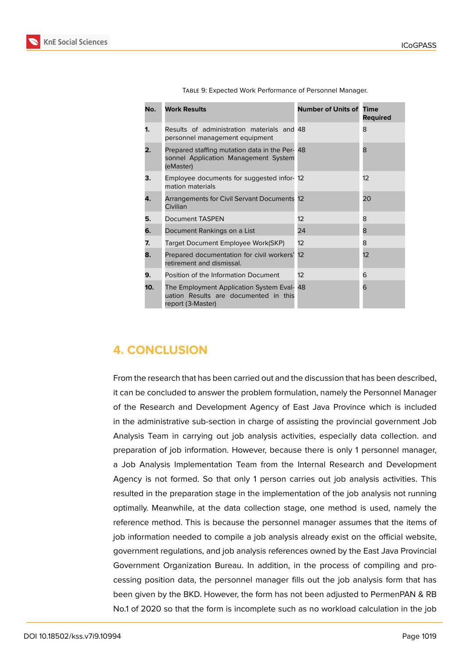| No. | <b>Work Results</b>                                                                                      | <b>Number of Units of Time</b> | <b>Required</b> |
|-----|----------------------------------------------------------------------------------------------------------|--------------------------------|-----------------|
| 1.  | Results of administration materials and 48<br>personnel management equipment                             |                                | 8               |
| 2.  | Prepared staffing mutation data in the Per- 48<br>sonnel Application Management System<br>(eMaster)      |                                | 8               |
| З.  | Employee documents for suggested infor- 12<br>mation materials                                           |                                | 12              |
| 4.  | Arrangements for Civil Servant Documents 12<br>Civilian                                                  |                                | 20              |
| 5.  | <b>Document TASPEN</b>                                                                                   | $12^{12}$                      | 8               |
| 6.  | Document Rankings on a List                                                                              | 24                             | 8               |
| 7.  | Target Document Employee Work(SKP)                                                                       | $12^{12}$                      | 8               |
| 8.  | Prepared documentation for civil workers'<br>retirement and dismissal.                                   | 12                             | 12              |
| 9.  | Position of the Information Document                                                                     | $12^{12}$                      | 6               |
| 10. | The Employment Application System Eval- 48<br>uation Results are documented in this<br>report (3-Master) |                                | 6               |

Table 9: Expected Work Performance of Personnel Manager.

## **4. CONCLUSION**

From the research that has been carried out and the discussion that has been described, it can be concluded to answer the problem formulation, namely the Personnel Manager of the Research and Development Agency of East Java Province which is included in the administrative sub-section in charge of assisting the provincial government Job Analysis Team in carrying out job analysis activities, especially data collection. and preparation of job information. However, because there is only 1 personnel manager, a Job Analysis Implementation Team from the Internal Research and Development Agency is not formed. So that only 1 person carries out job analysis activities. This resulted in the preparation stage in the implementation of the job analysis not running optimally. Meanwhile, at the data collection stage, one method is used, namely the reference method. This is because the personnel manager assumes that the items of job information needed to compile a job analysis already exist on the official website, government regulations, and job analysis references owned by the East Java Provincial Government Organization Bureau. In addition, in the process of compiling and processing position data, the personnel manager fills out the job analysis form that has been given by the BKD. However, the form has not been adjusted to PermenPAN & RB No.1 of 2020 so that the form is incomplete such as no workload calculation in the job